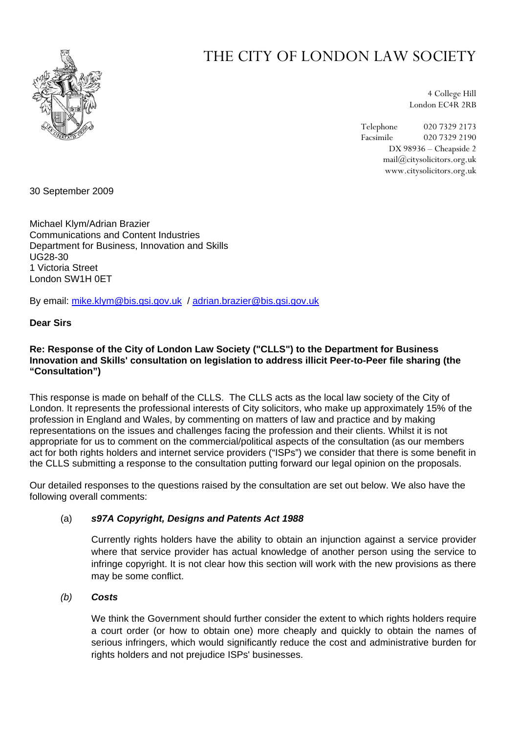

# THE CITY OF LONDON LAW SOCIETY

4 College Hill London EC4R 2RB

Telephone 020 7329 2173 Facsimile 020 7329 2190 DX 98936 – Cheapside 2 mail@citysolicitors.org.uk www.citysolicitors.org.uk

30 September 2009

Michael Klym/Adrian Brazier Communications and Content Industries Department for Business, Innovation and Skills UG28-30 1 Victoria Street London SW1H 0ET

By email: [mike.klym@bis.gsi.gov.uk](mailto:mike.klym@bis.gsi.gov.uk) / [adrian.brazier@bis.gsi.gov.uk](mailto:adrian.brazier@bis.gsi.gov.uk)

# **Dear Sirs**

# **Re: Response of the City of London Law Society ("CLLS") to the Department for Business Innovation and Skills' consultation on legislation to address illicit Peer-to-Peer file sharing (the "Consultation")**

This response is made on behalf of the CLLS. The CLLS acts as the local law society of the City of London. It represents the professional interests of City solicitors, who make up approximately 15% of the profession in England and Wales, by commenting on matters of law and practice and by making representations on the issues and challenges facing the profession and their clients. Whilst it is not appropriate for us to comment on the commercial/political aspects of the consultation (as our members act for both rights holders and internet service providers ("ISPs") we consider that there is some benefit in the CLLS submitting a response to the consultation putting forward our legal opinion on the proposals.

Our detailed responses to the questions raised by the consultation are set out below. We also have the following overall comments:

# (a) *s97A Copyright, Designs and Patents Act 1988*

Currently rights holders have the ability to obtain an injunction against a service provider where that service provider has actual knowledge of another person using the service to infringe copyright. It is not clear how this section will work with the new provisions as there may be some conflict.

# *(b) Costs*

We think the Government should further consider the extent to which rights holders require a court order (or how to obtain one) more cheaply and quickly to obtain the names of serious infringers, which would significantly reduce the cost and administrative burden for rights holders and not prejudice ISPs' businesses.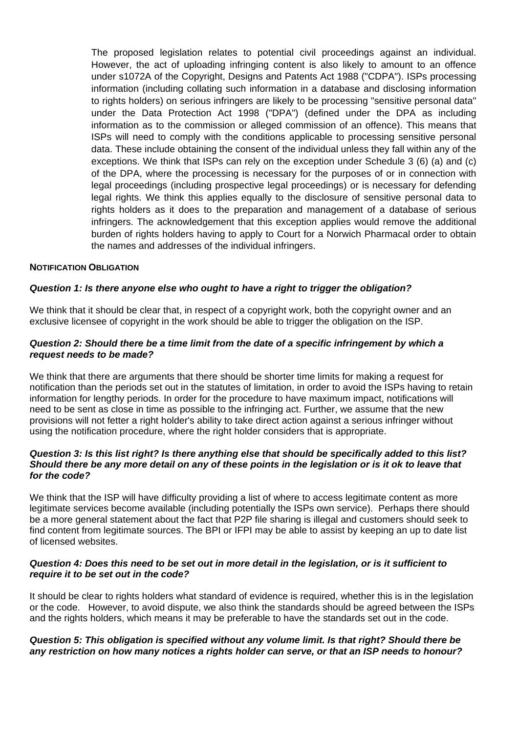The proposed legislation relates to potential civil proceedings against an individual. However, the act of uploading infringing content is also likely to amount to an offence under s1072A of the Copyright, Designs and Patents Act 1988 ("CDPA"). ISPs processing information (including collating such information in a database and disclosing information to rights holders) on serious infringers are likely to be processing "sensitive personal data" under the Data Protection Act 1998 ("DPA") (defined under the DPA as including information as to the commission or alleged commission of an offence). This means that ISPs will need to comply with the conditions applicable to processing sensitive personal data. These include obtaining the consent of the individual unless they fall within any of the exceptions. We think that ISPs can rely on the exception under Schedule 3 (6) (a) and (c) of the DPA, where the processing is necessary for the purposes of or in connection with legal proceedings (including prospective legal proceedings) or is necessary for defending legal rights. We think this applies equally to the disclosure of sensitive personal data to rights holders as it does to the preparation and management of a database of serious infringers. The acknowledgement that this exception applies would remove the additional burden of rights holders having to apply to Court for a Norwich Pharmacal order to obtain the names and addresses of the individual infringers.

#### **NOTIFICATION OBLIGATION**

# *Question 1: Is there anyone else who ought to have a right to trigger the obligation?*

We think that it should be clear that, in respect of a copyright work, both the copyright owner and an exclusive licensee of copyright in the work should be able to trigger the obligation on the ISP.

## *Question 2: Should there be a time limit from the date of a specific infringement by which a request needs to be made?*

We think that there are arguments that there should be shorter time limits for making a request for notification than the periods set out in the statutes of limitation, in order to avoid the ISPs having to retain information for lengthy periods. In order for the procedure to have maximum impact, notifications will need to be sent as close in time as possible to the infringing act. Further, we assume that the new provisions will not fetter a right holder's ability to take direct action against a serious infringer without using the notification procedure, where the right holder considers that is appropriate.

#### *Question 3: Is this list right? Is there anything else that should be specifically added to this list? Should there be any more detail on any of these points in the legislation or is it ok to leave that for the code?*

We think that the ISP will have difficulty providing a list of where to access legitimate content as more legitimate services become available (including potentially the ISPs own service). Perhaps there should be a more general statement about the fact that P2P file sharing is illegal and customers should seek to find content from legitimate sources. The BPI or IFPI may be able to assist by keeping an up to date list of licensed websites.

## *Question 4: Does this need to be set out in more detail in the legislation, or is it sufficient to require it to be set out in the code?*

It should be clear to rights holders what standard of evidence is required, whether this is in the legislation or the code. However, to avoid dispute, we also think the standards should be agreed between the ISPs and the rights holders, which means it may be preferable to have the standards set out in the code.

# *Question 5: This obligation is specified without any volume limit. Is that right? Should there be any restriction on how many notices a rights holder can serve, or that an ISP needs to honour?*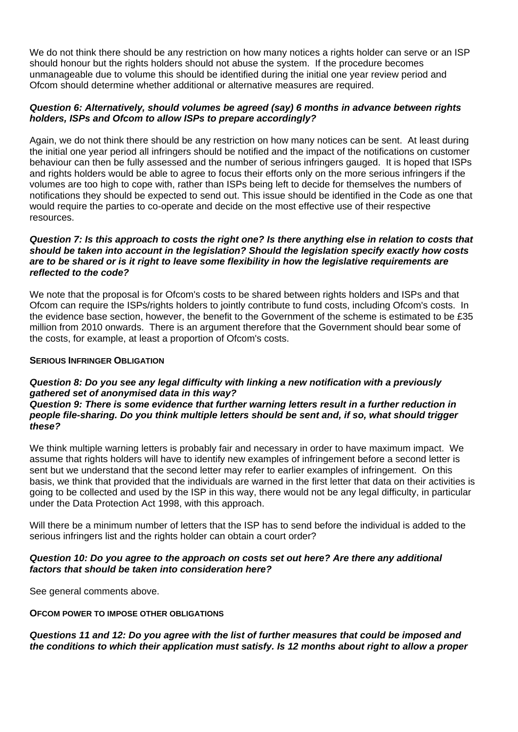We do not think there should be any restriction on how many notices a rights holder can serve or an ISP should honour but the rights holders should not abuse the system. If the procedure becomes unmanageable due to volume this should be identified during the initial one year review period and Ofcom should determine whether additional or alternative measures are required.

# *Question 6: Alternatively, should volumes be agreed (say) 6 months in advance between rights holders, ISPs and Ofcom to allow ISPs to prepare accordingly?*

Again, we do not think there should be any restriction on how many notices can be sent. At least during the initial one year period all infringers should be notified and the impact of the notifications on customer behaviour can then be fully assessed and the number of serious infringers gauged. It is hoped that ISPs and rights holders would be able to agree to focus their efforts only on the more serious infringers if the volumes are too high to cope with, rather than ISPs being left to decide for themselves the numbers of notifications they should be expected to send out. This issue should be identified in the Code as one that would require the parties to co-operate and decide on the most effective use of their respective resources.

## *Question 7: Is this approach to costs the right one? Is there anything else in relation to costs that should be taken into account in the legislation? Should the legislation specify exactly how costs are to be shared or is it right to leave some flexibility in how the legislative requirements are reflected to the code?*

We note that the proposal is for Ofcom's costs to be shared between rights holders and ISPs and that Ofcom can require the ISPs/rights holders to jointly contribute to fund costs, including Ofcom's costs. In the evidence base section, however, the benefit to the Government of the scheme is estimated to be £35 million from 2010 onwards. There is an argument therefore that the Government should bear some of the costs, for example, at least a proportion of Ofcom's costs.

## **SERIOUS INFRINGER OBLIGATION**

# *Question 8: Do you see any legal difficulty with linking a new notification with a previously gathered set of anonymised data in this way?*

*Question 9: There is some evidence that further warning letters result in a further reduction in people file-sharing. Do you think multiple letters should be sent and, if so, what should trigger these?* 

We think multiple warning letters is probably fair and necessary in order to have maximum impact. We assume that rights holders will have to identify new examples of infringement before a second letter is sent but we understand that the second letter may refer to earlier examples of infringement. On this basis, we think that provided that the individuals are warned in the first letter that data on their activities is going to be collected and used by the ISP in this way, there would not be any legal difficulty, in particular under the Data Protection Act 1998, with this approach.

Will there be a minimum number of letters that the ISP has to send before the individual is added to the serious infringers list and the rights holder can obtain a court order?

# *Question 10: Do you agree to the approach on costs set out here? Are there any additional factors that should be taken into consideration here?*

See general comments above.

# **OFCOM POWER TO IMPOSE OTHER OBLIGATIONS**

*Questions 11 and 12: Do you agree with the list of further measures that could be imposed and the conditions to which their application must satisfy. Is 12 months about right to allow a proper*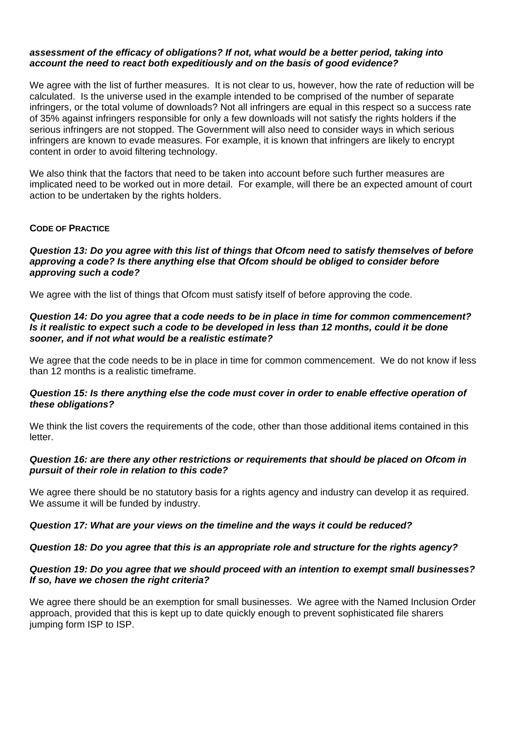## *assessment of the efficacy of obligations? If not, what would be a better period, taking into account the need to react both expeditiously and on the basis of good evidence?*

We agree with the list of further measures. It is not clear to us, however, how the rate of reduction will be calculated. Is the universe used in the example intended to be comprised of the number of separate infringers, or the total volume of downloads? Not all infringers are equal in this respect so a success rate of 35% against infringers responsible for only a few downloads will not satisfy the rights holders if the serious infringers are not stopped. The Government will also need to consider ways in which serious infringers are known to evade measures. For example, it is known that infringers are likely to encrypt content in order to avoid filtering technology.

We also think that the factors that need to be taken into account before such further measures are implicated need to be worked out in more detail. For example, will there be an expected amount of court action to be undertaken by the rights holders.

# **CODE OF PRACTICE**

## *Question 13: Do you agree with this list of things that Ofcom need to satisfy themselves of before approving a code? Is there anything else that Ofcom should be obliged to consider before approving such a code?*

We agree with the list of things that Ofcom must satisfy itself of before approving the code.

## *Question 14: Do you agree that a code needs to be in place in time for common commencement? Is it realistic to expect such a code to be developed in less than 12 months, could it be done sooner, and if not what would be a realistic estimate?*

We agree that the code needs to be in place in time for common commencement. We do not know if less than 12 months is a realistic timeframe.

## *Question 15: Is there anything else the code must cover in order to enable effective operation of these obligations?*

We think the list covers the requirements of the code, other than those additional items contained in this letter.

# *Question 16: are there any other restrictions or requirements that should be placed on Ofcom in pursuit of their role in relation to this code?*

We agree there should be no statutory basis for a rights agency and industry can develop it as required. We assume it will be funded by industry.

# *Question 17: What are your views on the timeline and the ways it could be reduced?*

# *Question 18: Do you agree that this is an appropriate role and structure for the rights agency?*

## *Question 19: Do you agree that we should proceed with an intention to exempt small businesses? If so, have we chosen the right criteria?*

We agree there should be an exemption for small businesses. We agree with the Named Inclusion Order approach, provided that this is kept up to date quickly enough to prevent sophisticated file sharers jumping form ISP to ISP.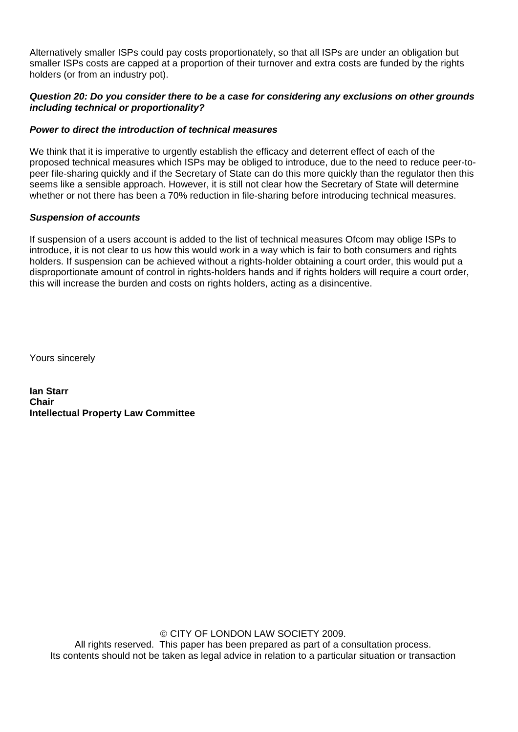Alternatively smaller ISPs could pay costs proportionately, so that all ISPs are under an obligation but smaller ISPs costs are capped at a proportion of their turnover and extra costs are funded by the rights holders (or from an industry pot).

# *Question 20: Do you consider there to be a case for considering any exclusions on other grounds including technical or proportionality?*

# *Power to direct the introduction of technical measures*

We think that it is imperative to urgently establish the efficacy and deterrent effect of each of the proposed technical measures which ISPs may be obliged to introduce, due to the need to reduce peer-topeer file-sharing quickly and if the Secretary of State can do this more quickly than the regulator then this seems like a sensible approach. However, it is still not clear how the Secretary of State will determine whether or not there has been a 70% reduction in file-sharing before introducing technical measures.

# *Suspension of accounts*

If suspension of a users account is added to the list of technical measures Ofcom may oblige ISPs to introduce, it is not clear to us how this would work in a way which is fair to both consumers and rights holders. If suspension can be achieved without a rights-holder obtaining a court order, this would put a disproportionate amount of control in rights-holders hands and if rights holders will require a court order, this will increase the burden and costs on rights holders, acting as a disincentive.

Yours sincerely

**Ian Starr Chair Intellectual Property Law Committee** 

> © CITY OF LONDON LAW SOCIETY 2009. All rights reserved. This paper has been prepared as part of a consultation process. Its contents should not be taken as legal advice in relation to a particular situation or transaction